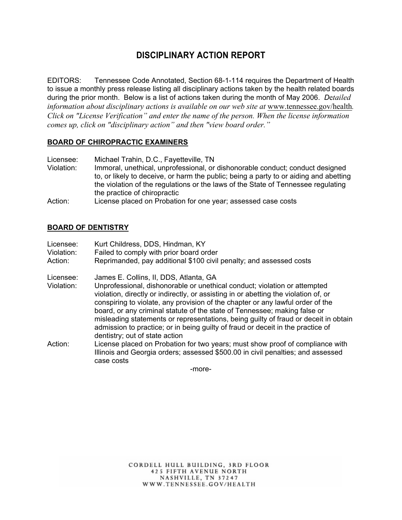# **DISCIPLINARY ACTION REPORT**

EDITORS: Tennessee Code Annotated, Section 68-1-114 requires the Department of Health to issue a monthly press release listing all disciplinary actions taken by the health related boards during the prior month. Below is a list of actions taken during the month of May 2006. *D*e*tailed information about disciplinary actions is available on our web site at www.tennessee.gov/health. Click on "License Verification" and enter the name of the person. When the license information comes up, click on "disciplinary action" and then "view board order."* 

### **BOARD OF CHIROPRACTIC EXAMINERS**

Licensee: Michael Trahin, D.C., Fayetteville, TN Violation: Immoral, unethical, unprofessional, or dishonorable conduct; conduct designed

to, or likely to deceive, or harm the public; being a party to or aiding and abetting the violation of the regulations or the laws of the State of Tennessee regulating the practice of chiropractic

Action: License placed on Probation for one year; assessed case costs

#### **BOARD OF DENTISTRY**

| Licensee:<br>Violation:<br>Action: | Kurt Childress, DDS, Hindman, KY<br>Failed to comply with prior board order<br>Reprimanded, pay additional \$100 civil penalty; and assessed costs                                                                                                                                                                                                                                                                                                                                                                                                                                    |
|------------------------------------|---------------------------------------------------------------------------------------------------------------------------------------------------------------------------------------------------------------------------------------------------------------------------------------------------------------------------------------------------------------------------------------------------------------------------------------------------------------------------------------------------------------------------------------------------------------------------------------|
| Licensee:<br>Violation:            | James E. Collins, II, DDS, Atlanta, GA<br>Unprofessional, dishonorable or unethical conduct; violation or attempted<br>violation, directly or indirectly, or assisting in or abetting the violation of, or<br>conspiring to violate, any provision of the chapter or any lawful order of the<br>board, or any criminal statute of the state of Tennessee; making false or<br>misleading statements or representations, being guilty of fraud or deceit in obtain<br>admission to practice; or in being guilty of fraud or deceit in the practice of<br>dentistry; out of state action |
| Action:                            | License placed on Probation for two years; must show proof of compliance with<br>Illinois and Georgia orders; assessed \$500.00 in civil penalties; and assessed<br>case costs                                                                                                                                                                                                                                                                                                                                                                                                        |

-more-

CORDELL HULL BUILDING, 3RD FLOOR **425 FIFTH AVENUE NORTH** NASHVILLE, TN 37247 WWW.TENNESSEE.GOV/HEALTH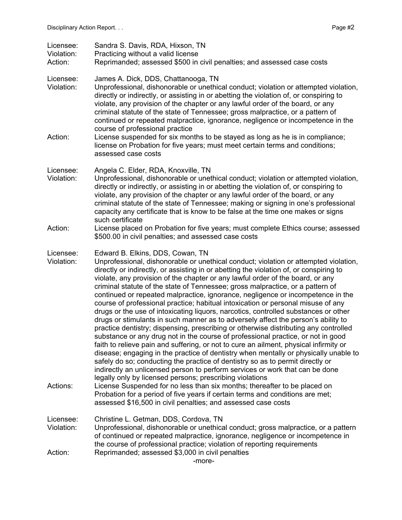| Licensee:<br>Violation:<br>Action:  | Sandra S. Davis, RDA, Hixson, TN<br>Practicing without a valid license<br>Reprimanded; assessed \$500 in civil penalties; and assessed case costs                                                                                                                                                                                                                                                                                                                                                                                                                                                                                                                                                                                                                                                                                                                                                                                                                                                                                                                                                                                                                                                                                                                                                                                                                                                                 |
|-------------------------------------|-------------------------------------------------------------------------------------------------------------------------------------------------------------------------------------------------------------------------------------------------------------------------------------------------------------------------------------------------------------------------------------------------------------------------------------------------------------------------------------------------------------------------------------------------------------------------------------------------------------------------------------------------------------------------------------------------------------------------------------------------------------------------------------------------------------------------------------------------------------------------------------------------------------------------------------------------------------------------------------------------------------------------------------------------------------------------------------------------------------------------------------------------------------------------------------------------------------------------------------------------------------------------------------------------------------------------------------------------------------------------------------------------------------------|
| Licensee:<br>Violation:             | James A. Dick, DDS, Chattanooga, TN<br>Unprofessional, dishonorable or unethical conduct; violation or attempted violation,<br>directly or indirectly, or assisting in or abetting the violation of, or conspiring to<br>violate, any provision of the chapter or any lawful order of the board, or any<br>criminal statute of the state of Tennessee; gross malpractice, or a pattern of<br>continued or repeated malpractice, ignorance, negligence or incompetence in the<br>course of professional practice                                                                                                                                                                                                                                                                                                                                                                                                                                                                                                                                                                                                                                                                                                                                                                                                                                                                                                   |
| Action:                             | License suspended for six months to be stayed as long as he is in compliance;<br>license on Probation for five years; must meet certain terms and conditions;<br>assessed case costs                                                                                                                                                                                                                                                                                                                                                                                                                                                                                                                                                                                                                                                                                                                                                                                                                                                                                                                                                                                                                                                                                                                                                                                                                              |
| Licensee:<br>Violation:             | Angela C. Elder, RDA, Knoxville, TN<br>Unprofessional, dishonorable or unethical conduct; violation or attempted violation,<br>directly or indirectly, or assisting in or abetting the violation of, or conspiring to<br>violate, any provision of the chapter or any lawful order of the board, or any<br>criminal statute of the state of Tennessee; making or signing in one's professional<br>capacity any certificate that is know to be false at the time one makes or signs<br>such certificate                                                                                                                                                                                                                                                                                                                                                                                                                                                                                                                                                                                                                                                                                                                                                                                                                                                                                                            |
| Action:                             | License placed on Probation for five years; must complete Ethics course; assessed<br>\$500.00 in civil penalties; and assessed case costs                                                                                                                                                                                                                                                                                                                                                                                                                                                                                                                                                                                                                                                                                                                                                                                                                                                                                                                                                                                                                                                                                                                                                                                                                                                                         |
| Licensee:<br>Violation:<br>Actions: | Edward B. Elkins, DDS, Cowan, TN<br>Unprofessional, dishonorable or unethical conduct; violation or attempted violation,<br>directly or indirectly, or assisting in or abetting the violation of, or conspiring to<br>violate, any provision of the chapter or any lawful order of the board, or any<br>criminal statute of the state of Tennessee; gross malpractice, or a pattern of<br>continued or repeated malpractice, ignorance, negligence or incompetence in the<br>course of professional practice; habitual intoxication or personal misuse of any<br>drugs or the use of intoxicating liquors, narcotics, controlled substances or other<br>drugs or stimulants in such manner as to adversely affect the person's ability to<br>practice dentistry; dispensing, prescribing or otherwise distributing any controlled<br>substance or any drug not in the course of professional practice, or not in good<br>faith to relieve pain and suffering, or not to cure an ailment, physical infirmity or<br>disease; engaging in the practice of dentistry when mentally or physically unable to<br>safely do so; conducting the practice of dentistry so as to permit directly or<br>indirectly an unlicensed person to perform services or work that can be done<br>legally only by licensed persons; prescribing violations<br>License Suspended for no less than six months; thereafter to be placed on |
|                                     | Probation for a period of five years if certain terms and conditions are met;<br>assessed \$16,500 in civil penalties; and assessed case costs                                                                                                                                                                                                                                                                                                                                                                                                                                                                                                                                                                                                                                                                                                                                                                                                                                                                                                                                                                                                                                                                                                                                                                                                                                                                    |
| Licensee:<br>Violation:             | Christine L. Getman, DDS, Cordova, TN<br>Unprofessional, dishonorable or unethical conduct; gross malpractice, or a pattern<br>of continued or repeated malpractice, ignorance, negligence or incompetence in<br>the course of professional practice; violation of reporting requirements                                                                                                                                                                                                                                                                                                                                                                                                                                                                                                                                                                                                                                                                                                                                                                                                                                                                                                                                                                                                                                                                                                                         |
| Action:                             | Reprimanded; assessed \$3,000 in civil penalties<br>-more-                                                                                                                                                                                                                                                                                                                                                                                                                                                                                                                                                                                                                                                                                                                                                                                                                                                                                                                                                                                                                                                                                                                                                                                                                                                                                                                                                        |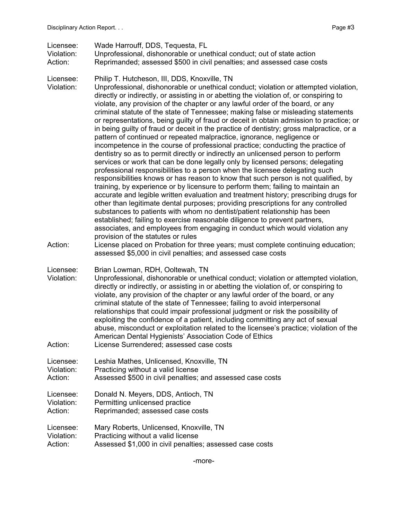Licensee: Wade Harrouff, DDS, Tequesta, FL

Violation: Unprofessional, dishonorable or unethical conduct; out of state action Action: Reprimanded; assessed \$500 in civil penalties; and assessed case costs

Licensee: Philip T. Hutcheson, III, DDS, Knoxville, TN

Violation: Unprofessional, dishonorable or unethical conduct; violation or attempted violation, directly or indirectly, or assisting in or abetting the violation of, or conspiring to violate, any provision of the chapter or any lawful order of the board, or any criminal statute of the state of Tennessee; making false or misleading statements or representations, being guilty of fraud or deceit in obtain admission to practice; or in being guilty of fraud or deceit in the practice of dentistry; gross malpractice, or a pattern of continued or repeated malpractice, ignorance, negligence or incompetence in the course of professional practice; conducting the practice of dentistry so as to permit directly or indirectly an unlicensed person to perform services or work that can be done legally only by licensed persons; delegating professional responsibilities to a person when the licensee delegating such responsibilities knows or has reason to know that such person is not qualified, by training, by experience or by licensure to perform them; failing to maintain an accurate and legible written evaluation and treatment history; prescribing drugs for other than legitimate dental purposes; providing prescriptions for any controlled substances to patients with whom no dentist/patient relationship has been established; failing to exercise reasonable diligence to prevent partners, associates, and employees from engaging in conduct which would violation any provision of the statutes or rules

- Action: License placed on Probation for three years; must complete continuing education; assessed \$5,000 in civil penalties; and assessed case costs
- Licensee: Brian Lowman, RDH, Ooltewah, TN
- Violation: Unprofessional, dishonorable or unethical conduct; violation or attempted violation, directly or indirectly, or assisting in or abetting the violation of, or conspiring to violate, any provision of the chapter or any lawful order of the board, or any criminal statute of the state of Tennessee; failing to avoid interpersonal relationships that could impair professional judgment or risk the possibility of exploiting the confidence of a patient, including committing any act of sexual abuse, misconduct or exploitation related to the licensee's practice; violation of the American Dental Hygienists' Association Code of Ethics Action: License Surrendered; assessed case costs

Licensee: Leshia Mathes, Unlicensed, Knoxville, TN Violation: Practicing without a valid license

Action: Assessed \$500 in civil penalties; and assessed case costs

Licensee: Donald N. Meyers, DDS, Antioch, TN Violation: Permitting unlicensed practice Action: Reprimanded; assessed case costs

Licensee: Mary Roberts, Unlicensed, Knoxville, TN Violation: Practicing without a valid license

Action: Assessed \$1,000 in civil penalties; assessed case costs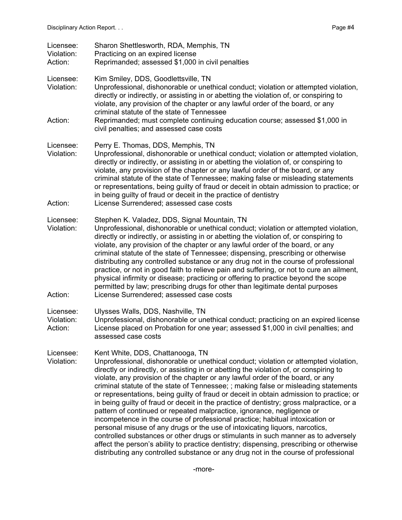| Licensee:<br>Violation:<br>Action: | Sharon Shettlesworth, RDA, Memphis, TN<br>Practicing on an expired license<br>Reprimanded; assessed \$1,000 in civil penalties                                                                                                                                                                                                                                                                                                                                                                                                                                                                                                                                                                                                                                                                                                                                                                                                                                                                                                                                                                      |
|------------------------------------|-----------------------------------------------------------------------------------------------------------------------------------------------------------------------------------------------------------------------------------------------------------------------------------------------------------------------------------------------------------------------------------------------------------------------------------------------------------------------------------------------------------------------------------------------------------------------------------------------------------------------------------------------------------------------------------------------------------------------------------------------------------------------------------------------------------------------------------------------------------------------------------------------------------------------------------------------------------------------------------------------------------------------------------------------------------------------------------------------------|
| Licensee:<br>Violation:<br>Action: | Kim Smiley, DDS, Goodlettsville, TN<br>Unprofessional, dishonorable or unethical conduct; violation or attempted violation,<br>directly or indirectly, or assisting in or abetting the violation of, or conspiring to<br>violate, any provision of the chapter or any lawful order of the board, or any<br>criminal statute of the state of Tennessee<br>Reprimanded; must complete continuing education course; assessed \$1,000 in                                                                                                                                                                                                                                                                                                                                                                                                                                                                                                                                                                                                                                                                |
|                                    | civil penalties; and assessed case costs                                                                                                                                                                                                                                                                                                                                                                                                                                                                                                                                                                                                                                                                                                                                                                                                                                                                                                                                                                                                                                                            |
| Licensee:<br>Violation:<br>Action: | Perry E. Thomas, DDS, Memphis, TN<br>Unprofessional, dishonorable or unethical conduct; violation or attempted violation,<br>directly or indirectly, or assisting in or abetting the violation of, or conspiring to<br>violate, any provision of the chapter or any lawful order of the board, or any<br>criminal statute of the state of Tennessee; making false or misleading statements<br>or representations, being guilty of fraud or deceit in obtain admission to practice; or<br>in being guilty of fraud or deceit in the practice of dentistry<br>License Surrendered; assessed case costs                                                                                                                                                                                                                                                                                                                                                                                                                                                                                                |
|                                    |                                                                                                                                                                                                                                                                                                                                                                                                                                                                                                                                                                                                                                                                                                                                                                                                                                                                                                                                                                                                                                                                                                     |
| Licensee:<br>Violation:<br>Action: | Stephen K. Valadez, DDS, Signal Mountain, TN<br>Unprofessional, dishonorable or unethical conduct; violation or attempted violation,<br>directly or indirectly, or assisting in or abetting the violation of, or conspiring to<br>violate, any provision of the chapter or any lawful order of the board, or any<br>criminal statute of the state of Tennessee; dispensing, prescribing or otherwise<br>distributing any controlled substance or any drug not in the course of professional<br>practice, or not in good faith to relieve pain and suffering, or not to cure an ailment,<br>physical infirmity or disease; practicing or offering to practice beyond the scope<br>permitted by law; prescribing drugs for other than legitimate dental purposes<br>License Surrendered; assessed case costs                                                                                                                                                                                                                                                                                          |
|                                    |                                                                                                                                                                                                                                                                                                                                                                                                                                                                                                                                                                                                                                                                                                                                                                                                                                                                                                                                                                                                                                                                                                     |
| Licensee:<br>Violation:<br>Action: | Ulysses Walls, DDS, Nashville, TN<br>Unprofessional, dishonorable or unethical conduct; practicing on an expired license<br>License placed on Probation for one year; assessed \$1,000 in civil penalties; and<br>assessed case costs                                                                                                                                                                                                                                                                                                                                                                                                                                                                                                                                                                                                                                                                                                                                                                                                                                                               |
| Licensee:<br>Violation:            | Kent White, DDS, Chattanooga, TN<br>Unprofessional, dishonorable or unethical conduct; violation or attempted violation,<br>directly or indirectly, or assisting in or abetting the violation of, or conspiring to<br>violate, any provision of the chapter or any lawful order of the board, or any<br>criminal statute of the state of Tennessee; ; making false or misleading statements<br>or representations, being guilty of fraud or deceit in obtain admission to practice; or<br>in being guilty of fraud or deceit in the practice of dentistry; gross malpractice, or a<br>pattern of continued or repeated malpractice, ignorance, negligence or<br>incompetence in the course of professional practice; habitual intoxication or<br>personal misuse of any drugs or the use of intoxicating liquors, narcotics,<br>controlled substances or other drugs or stimulants in such manner as to adversely<br>affect the person's ability to practice dentistry; dispensing, prescribing or otherwise<br>distributing any controlled substance or any drug not in the course of professional |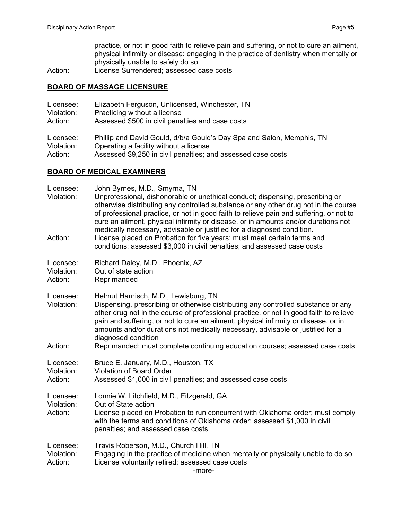practice, or not in good faith to relieve pain and suffering, or not to cure an ailment, physical infirmity or disease; engaging in the practice of dentistry when mentally or physically unable to safely do so

Action: License Surrendered; assessed case costs

#### **BOARD OF MASSAGE LICENSURE**

| Licensee:  | Elizabeth Ferguson, Unlicensed, Winchester, TN                        |
|------------|-----------------------------------------------------------------------|
| Violation: | Practicing without a license                                          |
| Action:    | Assessed \$500 in civil penalties and case costs                      |
| Licensee:  | Phillip and David Gould, d/b/a Gould's Day Spa and Salon, Memphis, TN |
| Violation: | Operating a facility without a license                                |
| Action:    | Assessed \$9,250 in civil penalties; and assessed case costs          |

#### **BOARD OF MEDICAL EXAMINERS**

| Licensee:<br>Violation:<br>Action: | John Byrnes, M.D., Smyrna, TN<br>Unprofessional, dishonorable or unethical conduct; dispensing, prescribing or<br>otherwise distributing any controlled substance or any other drug not in the course<br>of professional practice, or not in good faith to relieve pain and suffering, or not to<br>cure an ailment, physical infirmity or disease, or in amounts and/or durations not<br>medically necessary, advisable or justified for a diagnosed condition.<br>License placed on Probation for five years; must meet certain terms and<br>conditions; assessed \$3,000 in civil penalties; and assessed case costs |
|------------------------------------|-------------------------------------------------------------------------------------------------------------------------------------------------------------------------------------------------------------------------------------------------------------------------------------------------------------------------------------------------------------------------------------------------------------------------------------------------------------------------------------------------------------------------------------------------------------------------------------------------------------------------|
| Licensee:<br>Violation:<br>Action: | Richard Daley, M.D., Phoenix, AZ<br>Out of state action<br>Reprimanded                                                                                                                                                                                                                                                                                                                                                                                                                                                                                                                                                  |
| Licensee:<br>Violation:<br>Action: | Helmut Harnisch, M.D., Lewisburg, TN<br>Dispensing, prescribing or otherwise distributing any controlled substance or any<br>other drug not in the course of professional practice, or not in good faith to relieve<br>pain and suffering, or not to cure an ailment, physical infirmity or disease, or in<br>amounts and/or durations not medically necessary, advisable or justified for a<br>diagnosed condition<br>Reprimanded; must complete continuing education courses; assessed case costs                                                                                                                     |
| Licensee:<br>Violation:<br>Action: | Bruce E. January, M.D., Houston, TX<br><b>Violation of Board Order</b><br>Assessed \$1,000 in civil penalties; and assessed case costs                                                                                                                                                                                                                                                                                                                                                                                                                                                                                  |
| Licensee:<br>Violation:<br>Action: | Lonnie W. Litchfield, M.D., Fitzgerald, GA<br>Out of State action<br>License placed on Probation to run concurrent with Oklahoma order; must comply<br>with the terms and conditions of Oklahoma order; assessed \$1,000 in civil<br>penalties; and assessed case costs                                                                                                                                                                                                                                                                                                                                                 |
| Licensee:<br>Violation:<br>Action: | Travis Roberson, M.D., Church Hill, TN<br>Engaging in the practice of medicine when mentally or physically unable to do so<br>License voluntarily retired; assessed case costs<br>-more-                                                                                                                                                                                                                                                                                                                                                                                                                                |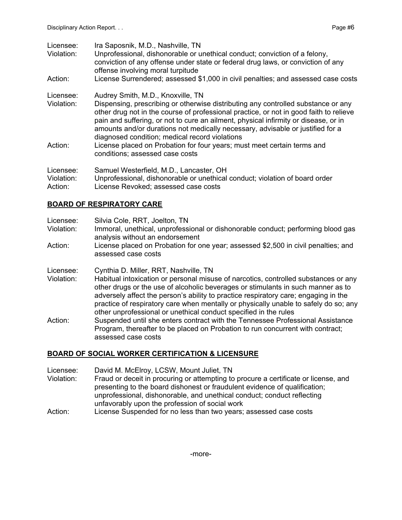| Licensee:<br>Violation:            | Ira Saposnik, M.D., Nashville, TN<br>Unprofessional, dishonorable or unethical conduct; conviction of a felony,<br>conviction of any offense under state or federal drug laws, or conviction of any<br>offense involving moral turpitude                                                                                                                                                                                                    |
|------------------------------------|---------------------------------------------------------------------------------------------------------------------------------------------------------------------------------------------------------------------------------------------------------------------------------------------------------------------------------------------------------------------------------------------------------------------------------------------|
| Action:                            | License Surrendered; assessed \$1,000 in civil penalties; and assessed case costs                                                                                                                                                                                                                                                                                                                                                           |
| Licensee:<br>Violation:            | Audrey Smith, M.D., Knoxville, TN<br>Dispensing, prescribing or otherwise distributing any controlled substance or any<br>other drug not in the course of professional practice, or not in good faith to relieve<br>pain and suffering, or not to cure an ailment, physical infirmity or disease, or in<br>amounts and/or durations not medically necessary, advisable or justified for a<br>diagnosed condition; medical record violations |
| Action:                            | License placed on Probation for four years; must meet certain terms and<br>conditions; assessed case costs                                                                                                                                                                                                                                                                                                                                  |
| Licensee:<br>Violation:<br>Action: | Samuel Westerfield, M.D., Lancaster, OH<br>Unprofessional, dishonorable or unethical conduct; violation of board order<br>License Revoked; assessed case costs                                                                                                                                                                                                                                                                              |

## **BOARD OF RESPIRATORY CARE**

- Licensee: Silvia Cole, RRT, Joelton, TN
- Violation: Immoral, unethical, unprofessional or dishonorable conduct; performing blood gas analysis without an endorsement
- Action: License placed on Probation for one year; assessed \$2,500 in civil penalties; and assessed case costs
- Licensee: Cynthia D. Miller, RRT, Nashville, TN
- Violation: Habitual intoxication or personal misuse of narcotics, controlled substances or any other drugs or the use of alcoholic beverages or stimulants in such manner as to adversely affect the person's ability to practice respiratory care; engaging in the practice of respiratory care when mentally or physically unable to safely do so; any other unprofessional or unethical conduct specified in the rules
- Action: Suspended until she enters contract with the Tennessee Professional Assistance Program, thereafter to be placed on Probation to run concurrent with contract; assessed case costs

## **BOARD OF SOCIAL WORKER CERTIFICATION & LICENSURE**

- Licensee: David M. McElroy, LCSW, Mount Juliet, TN
- Violation: Fraud or deceit in procuring or attempting to procure a certificate or license, and presenting to the board dishonest or fraudulent evidence of qualification; unprofessional, dishonorable, and unethical conduct; conduct reflecting unfavorably upon the profession of social work
- Action: License Suspended for no less than two years; assessed case costs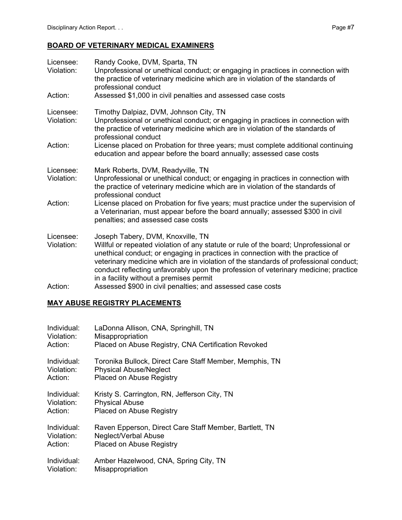## **BOARD OF VETERINARY MEDICAL EXAMINERS**

| Licensee:<br>Violation: | Randy Cooke, DVM, Sparta, TN<br>Unprofessional or unethical conduct; or engaging in practices in connection with<br>the practice of veterinary medicine which are in violation of the standards of<br>professional conduct                                                                                                                                                                                                            |
|-------------------------|---------------------------------------------------------------------------------------------------------------------------------------------------------------------------------------------------------------------------------------------------------------------------------------------------------------------------------------------------------------------------------------------------------------------------------------|
| Action:                 | Assessed \$1,000 in civil penalties and assessed case costs                                                                                                                                                                                                                                                                                                                                                                           |
| Licensee:<br>Violation: | Timothy Dalpiaz, DVM, Johnson City, TN<br>Unprofessional or unethical conduct; or engaging in practices in connection with<br>the practice of veterinary medicine which are in violation of the standards of<br>professional conduct                                                                                                                                                                                                  |
| Action:                 | License placed on Probation for three years; must complete additional continuing<br>education and appear before the board annually; assessed case costs                                                                                                                                                                                                                                                                               |
| Licensee:<br>Violation: | Mark Roberts, DVM, Readyville, TN<br>Unprofessional or unethical conduct; or engaging in practices in connection with<br>the practice of veterinary medicine which are in violation of the standards of<br>professional conduct                                                                                                                                                                                                       |
| Action:                 | License placed on Probation for five years; must practice under the supervision of<br>a Veterinarian, must appear before the board annually; assessed \$300 in civil<br>penalties; and assessed case costs                                                                                                                                                                                                                            |
| Licensee:<br>Violation: | Joseph Tabery, DVM, Knoxville, TN<br>Willful or repeated violation of any statute or rule of the board; Unprofessional or<br>unethical conduct; or engaging in practices in connection with the practice of<br>veterinary medicine which are in violation of the standards of professional conduct;<br>conduct reflecting unfavorably upon the profession of veterinary medicine; practice<br>in a facility without a premises permit |
| Action:                 | Assassed \$900 in civil penalties: and assassed case costs                                                                                                                                                                                                                                                                                                                                                                            |

#### Action: Assessed \$900 in civil penalties; and assessed case costs

## **MAY ABUSE REGISTRY PLACEMENTS**

| Individual: | LaDonna Allison, CNA, Springhill, TN                    |
|-------------|---------------------------------------------------------|
| Violation:  | Misappropriation                                        |
| Action:     | Placed on Abuse Registry, CNA Certification Revoked     |
| Individual: | Toronika Bullock, Direct Care Staff Member, Memphis, TN |
| Violation:  | <b>Physical Abuse/Neglect</b>                           |
| Action:     | <b>Placed on Abuse Registry</b>                         |
| Individual: | Kristy S. Carrington, RN, Jefferson City, TN            |
| Violation:  | <b>Physical Abuse</b>                                   |
| Action:     | Placed on Abuse Registry                                |
| Individual: | Raven Epperson, Direct Care Staff Member, Bartlett, TN  |
| Violation:  | Neglect/Verbal Abuse                                    |
| Action:     | Placed on Abuse Registry                                |
| Individual: | Amber Hazelwood, CNA, Spring City, TN                   |
| Violation:  | Misappropriation                                        |